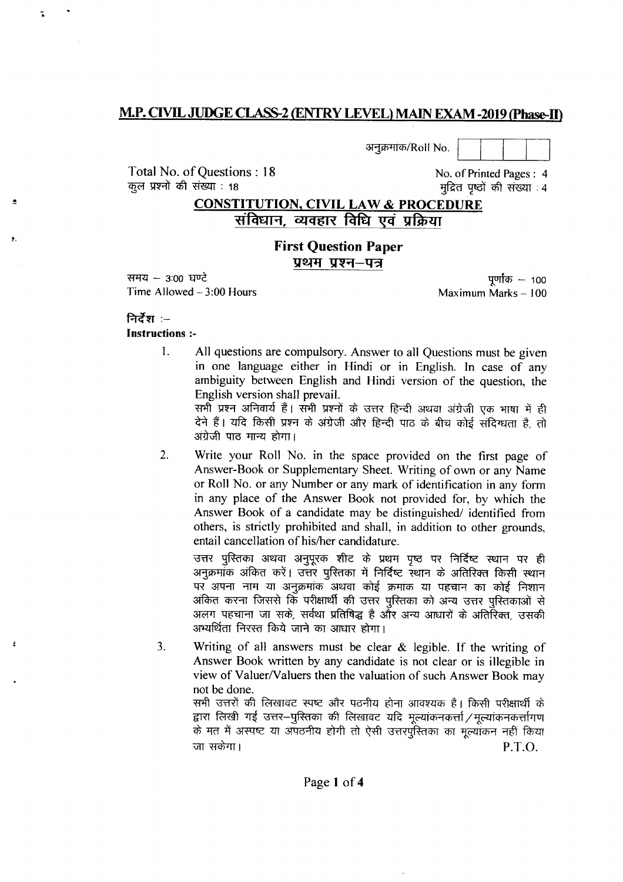## M.P. CIVIL JUDGE CLASS-2 (ENTRY LEVEL) MAIN EXAM -2019 (Phase-II)

Total No. of Questions: 18 कुल प्रश्नों की संख्या : 18

अनुक्रमांक/Roll No.

# **CONSTITUTION, CIVIL LAW & PROCEDURE** संविधान, व्यवहार विधि एवं प्रक्रिया

### **First Question Paper** प्रथम प्रश्न–पत्र

समय – 3:00 घण्टे Time Allowed  $-3:00$  Hours

पूर्णांक  $-100$ Maximum Marks - 100

No. of Printed Pages: 4

मुद्रित पृष्ठों की संख्या : 4

#### निर्देश :-**Instructions:-**

 $\mathbf{1}$ . All questions are compulsory. Answer to all Questions must be given in one language either in Hindi or in English. In case of any ambiguity between English and Hindi version of the question, the English version shall prevail.

> सभी प्रश्न अनिवार्य हैं। सभी प्रश्नों के उत्तर हिन्दी अथवा अंग्रेजी एक भाषा में ही देने हैं। यदि किसी प्रश्न के अंग्रेजी और हिन्दी पाठ के बीच कोई संदिग्धता है, तो अंग्रेजी पाठ मान्य होगा।

 $2.$ Write your Roll No. in the space provided on the first page of Answer-Book or Supplementary Sheet. Writing of own or any Name or Roll No. or any Number or any mark of identification in any form in any place of the Answer Book not provided for, by which the Answer Book of a candidate may be distinguished/ identified from others, is strictly prohibited and shall, in addition to other grounds, entail cancellation of his/her candidature.

उत्तर पुस्तिका अथवा अनुपुरक शीट के प्रथम पुष्ठ पर निर्दिष्ट स्थान पर ही अनुक्रमांक अंकित करें। उत्तर पुस्तिका में निर्दिष्ट स्थान के अतिरिक्त किसी स्थान पर अपना नाम या अनुक्रमांक अथवा कोई क्रमांक या पहचान का कोई निशान अंकित करना जिससे कि परीक्षार्थी की उत्तर पुस्तिका को अन्य उत्तर पुस्तिकाओं से अलग पहचाना जा सके. सर्वथा प्रतिषिद्ध है और अन्य आधारों के अतिरिक्त उसकी अभ्यर्थिता निरस्त किये जाने का आधार होगा।

Writing of all answers must be clear  $\&$  legible. If the writing of  $3.$ Answer Book written by any candidate is not clear or is illegible in view of Valuer/Valuers then the valuation of such Answer Book may not be done.

सभी उत्तरों की लिखावट स्पष्ट और पठनीय होना आवश्यक है। किसी परीक्षार्थी के द्वारा लिखी गई उत्तर-पुस्तिका की लिखावट यदि मल्यांकनकर्त्ता / मल्यांकनकर्त्तागण के मत में अस्पष्ट या अपठनीय होगी तो ऐसी उत्तरपुरितका का मुल्यांकन नहीं किया जा सकेगा। P.T.O.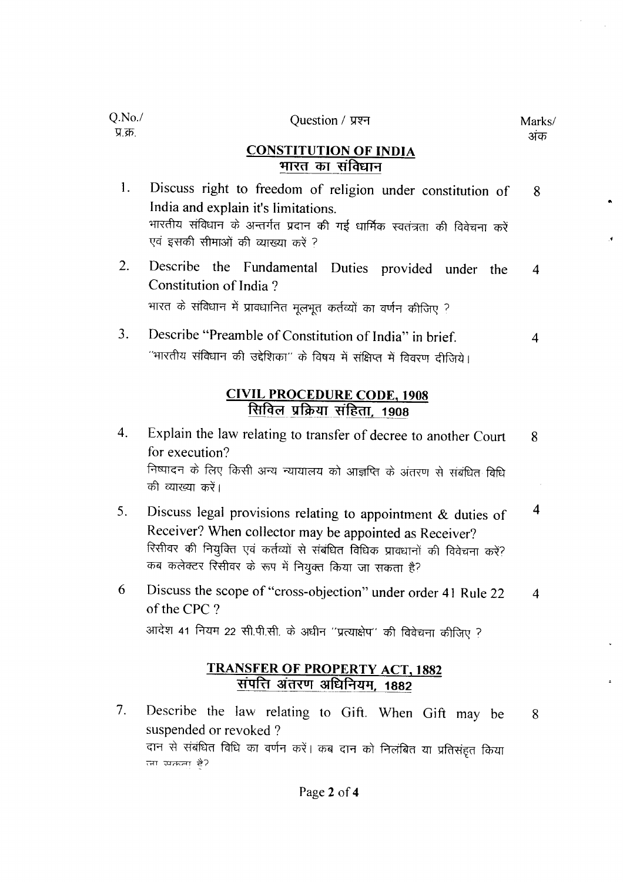| Q.No.<br>प्र.क्र.                                                 | Question / प्रश्न                                                                                                                                                                                                     | Marks/<br>अंक |  |
|-------------------------------------------------------------------|-----------------------------------------------------------------------------------------------------------------------------------------------------------------------------------------------------------------------|---------------|--|
|                                                                   | <b>CONSTITUTION OF INDIA</b><br>भारत का संविधान                                                                                                                                                                       |               |  |
| 1.                                                                | Discuss right to freedom of religion under constitution of<br>India and explain it's limitations.<br>भारतीय संविधान के अन्तर्गत प्रदान की गई धार्मिक स्वतंत्रता की विवेचना करें<br>एवं इसकी सीमाओं की व्याख्या करें ? | 8             |  |
| $\overline{2}$ .                                                  | Describe the Fundamental Duties provided under the<br>Constitution of India?<br>भारत के संविधान में प्रावधानित मूलभूत कर्तव्यों का वर्णन कीजिए ?                                                                      | 4             |  |
| 3.                                                                | Describe "Preamble of Constitution of India" in brief.<br>''भारतीय संविधान की उद्देशिका'' के विषय में संक्षिप्त में विवरण दीजिये।                                                                                     | 4             |  |
| <b>CIVIL PROCEDURE CODE, 1908</b><br>सिविल प्रक्रिया संहिता, 1908 |                                                                                                                                                                                                                       |               |  |
| 4.                                                                | Explain the law relating to transfer of decree to another Court<br>for execution?<br>निष्पादन के लिए किसी अन्य न्यायालय को आज्ञप्ति के अंतरण से संबंधित विधि<br>की व्याख्या करें।                                     | 8             |  |

- Discuss legal provisions relating to appointment  $&$  duties of  $\overline{\mathbf{4}}$ 5. Receiver? When collector may be appointed as Receiver? रिसीवर की नियुक्ति एवं कर्तव्यों से संबंधित विधिक प्रावधानों की विवेचना करें? कब कलेक्टर रिसीवर के रूप में नियुक्त किया जा सकता है?
- Discuss the scope of "cross-objection" under order 41 Rule 22 6  $\overline{4}$ of the CPC? आदेश 41 नियम 22 सी.पी.सी. के अधीन "प्रत्याक्षेप" की विवेचना कीजिए ?

# **TRANSFER OF PROPERTY ACT, 1882** संपत्ति अंतरण अधिनियम. 1882

Describe the law relating to Gift. When Gift may be  $7<sub>1</sub>$ 8 suspended or revoked? दान से संबंधित विधि का वर्णन करें। कब दान को निलंबित या प्रतिसंहृत किया त्ना स्मक्तना है?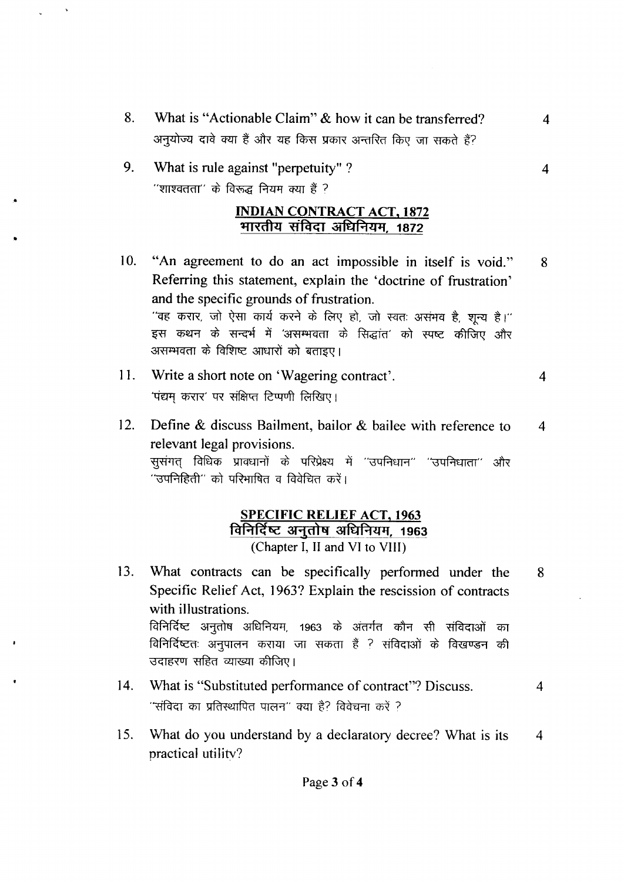8. What is "Actionable Claim" & how it can be transferred? अनुयोज्य दावे क्या हैं और यह किस प्रकार अन्तरित किए जा सकते हैं?

 $\overline{4}$ 

 $\overline{4}$ 

 $\overline{4}$ 

9. What is rule against "perpetuity"? "शाश्वतता" के विरूद्ध नियम क्या हैं ?

#### **INDIAN CONTRACT ACT, 1872** भारतीय संविदा अधिनियम, 1872

- "An agreement to do an act impossible in itself is void."  $10.$ 8 Referring this statement, explain the 'doctrine of frustration' and the specific grounds of frustration. "वह करार, जो ऐसा कार्य करने के लिए हो, जो स्वतः असंभव है, शून्य है।" इस कथन के सन्दर्भ में 'असम्भवता के सिद्धांत' को स्पष्ट कीजिए और असम्भवता के विशिष्ट आधारों को बताइए।
- 11. Write a short note on 'Wagering contract'.  $\overline{\mathbf{4}}$ 'पंद्यम करार' पर संक्षिप्त टिप्पणी लिखिए।
- Define & discuss Bailment, bailor & bailee with reference to  $12.$ relevant legal provisions. सुसंगत् विधिक प्रावधानों के परिप्रेक्ष्य में ''उपनिधान'' ''उपनिधाता'' और ''उपनिहिती'' को परिभाषित व विवेचित करें।

### **SPECIFIC RELIEF ACT, 1963** विनिर्दिष्ट अनुतोष अधिनियम, 1963 (Chapter I, II and VI to VIII)

- $13.$ What contracts can be specifically performed under the 8 Specific Relief Act, 1963? Explain the rescission of contracts with illustrations. विनिर्दिष्ट अनुतोष अधिनियम, 1963 के अंतर्गत कौन सी संविदाओं का विनिर्दिष्टतः अनुपालन कराया जा सकता हैं ? संविदाओं के विखण्डन की उदाहरण सहित व्याख्या कीजिए।
- 14. What is "Substituted performance of contract"? Discuss.  $\overline{4}$ ''संविदा का प्रतिस्थापित पालन'' क्या है? विवेचना करें ?
- What do you understand by a declaratory decree? What is its 15.  $\overline{\mathcal{A}}$ practical utility?